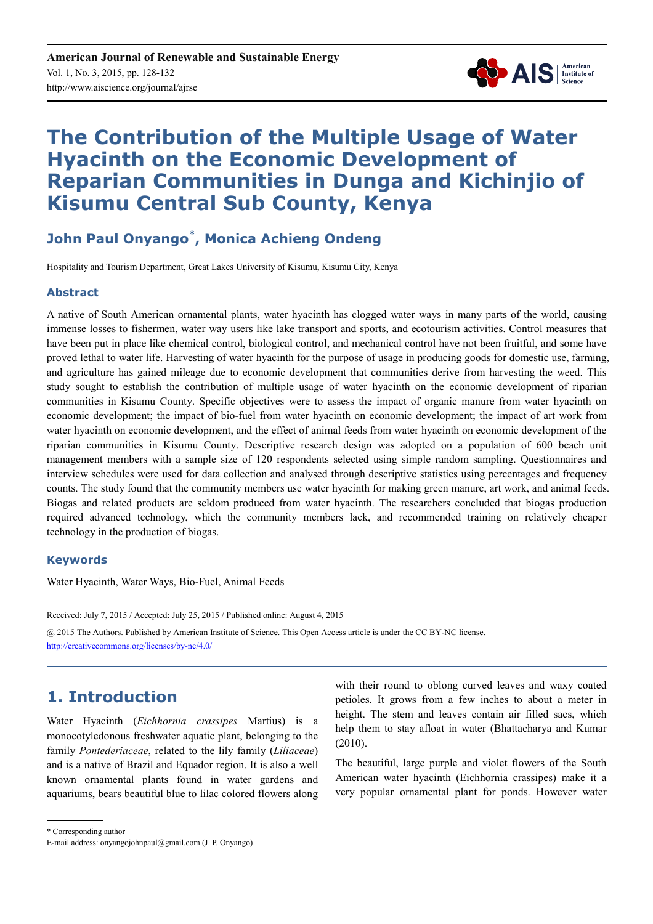

# **The Contribution of the Multiple Usage of Water Hyacinth on the Economic Development of Reparian Communities in Dunga and Kichinjio of Kisumu Central Sub County, Kenya**

## **John Paul Onyango\* , Monica Achieng Ondeng**

Hospitality and Tourism Department, Great Lakes University of Kisumu, Kisumu City, Kenya

### **Abstract**

A native of South American ornamental plants, water hyacinth has clogged water ways in many parts of the world, causing immense losses to fishermen, water way users like lake transport and sports, and ecotourism activities. Control measures that have been put in place like chemical control, biological control, and mechanical control have not been fruitful, and some have proved lethal to water life. Harvesting of water hyacinth for the purpose of usage in producing goods for domestic use, farming, and agriculture has gained mileage due to economic development that communities derive from harvesting the weed. This study sought to establish the contribution of multiple usage of water hyacinth on the economic development of riparian communities in Kisumu County. Specific objectives were to assess the impact of organic manure from water hyacinth on economic development; the impact of bio-fuel from water hyacinth on economic development; the impact of art work from water hyacinth on economic development, and the effect of animal feeds from water hyacinth on economic development of the riparian communities in Kisumu County. Descriptive research design was adopted on a population of 600 beach unit management members with a sample size of 120 respondents selected using simple random sampling. Questionnaires and interview schedules were used for data collection and analysed through descriptive statistics using percentages and frequency counts. The study found that the community members use water hyacinth for making green manure, art work, and animal feeds. Biogas and related products are seldom produced from water hyacinth. The researchers concluded that biogas production required advanced technology, which the community members lack, and recommended training on relatively cheaper technology in the production of biogas.

### **Keywords**

Water Hyacinth, Water Ways, Bio-Fuel, Animal Feeds

Received: July 7, 2015 / Accepted: July 25, 2015 / Published online: August 4, 2015

@ 2015 The Authors. Published by American Institute of Science. This Open Access article is under the CC BY-NC license. http://creativecommons.org/licenses/by-nc/4.0/

## **1. Introduction**

Water Hyacinth (*Eichhornia crassipes* Martius) is a monocotyledonous freshwater aquatic plant, belonging to the family *Pontederiaceae*, related to the lily family (*Liliaceae*) and is a native of Brazil and Equador region. It is also a well known ornamental plants found in water gardens and aquariums, bears beautiful blue to lilac colored flowers along with their round to oblong curved leaves and waxy coated petioles. It grows from a few inches to about a meter in height. The stem and leaves contain air filled sacs, which help them to stay afloat in water (Bhattacharya and Kumar (2010).

The beautiful, large purple and violet flowers of the South American water hyacinth (Eichhornia crassipes) make it a very popular ornamental plant for ponds. However water

\* Corresponding author

E-mail address: onyangojohnpaul@gmail.com (J. P. Onyango)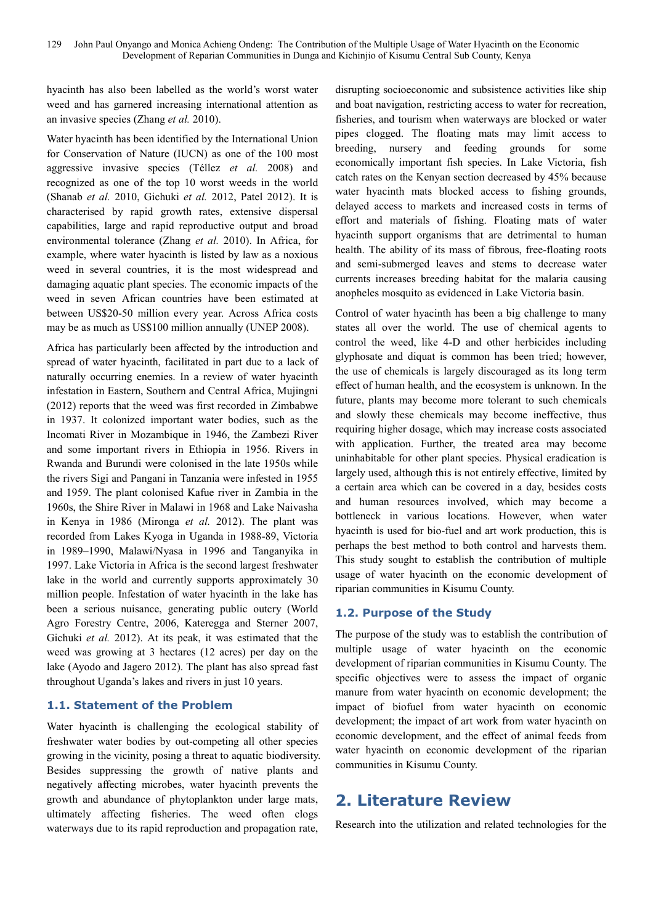hyacinth has also been labelled as the world's worst water weed and has garnered increasing international attention as an invasive species (Zhang *et al.* 2010).

Water hyacinth has been identified by the International Union for Conservation of Nature (IUCN) as one of the 100 most aggressive invasive species (Téllez *et al.* 2008) and recognized as one of the top 10 worst weeds in the world (Shanab *et al.* 2010, Gichuki *et al.* 2012, Patel 2012). It is characterised by rapid growth rates, extensive dispersal capabilities, large and rapid reproductive output and broad environmental tolerance (Zhang *et al.* 2010). In Africa, for example, where water hyacinth is listed by law as a noxious weed in several countries, it is the most widespread and damaging aquatic plant species. The economic impacts of the weed in seven African countries have been estimated at between US\$20-50 million every year. Across Africa costs may be as much as US\$100 million annually (UNEP 2008).

Africa has particularly been affected by the introduction and spread of water hyacinth, facilitated in part due to a lack of naturally occurring enemies. In a review of water hyacinth infestation in Eastern, Southern and Central Africa, Mujingni (2012) reports that the weed was first recorded in Zimbabwe in 1937. It colonized important water bodies, such as the Incomati River in Mozambique in 1946, the Zambezi River and some important rivers in Ethiopia in 1956. Rivers in Rwanda and Burundi were colonised in the late 1950s while the rivers Sigi and Pangani in Tanzania were infested in 1955 and 1959. The plant colonised Kafue river in Zambia in the 1960s, the Shire River in Malawi in 1968 and Lake Naivasha in Kenya in 1986 (Mironga *et al.* 2012). The plant was recorded from Lakes Kyoga in Uganda in 1988-89, Victoria in 1989–1990, Malawi/Nyasa in 1996 and Tanganyika in 1997. Lake Victoria in Africa is the second largest freshwater lake in the world and currently supports approximately 30 million people. Infestation of water hyacinth in the lake has been a serious nuisance, generating public outcry (World Agro Forestry Centre, 2006, Kateregga and Sterner 2007, Gichuki *et al.* 2012). At its peak, it was estimated that the weed was growing at 3 hectares (12 acres) per day on the lake (Ayodo and Jagero 2012). The plant has also spread fast throughout Uganda's lakes and rivers in just 10 years.

### **1.1. Statement of the Problem**

Water hyacinth is challenging the ecological stability of freshwater water bodies by out-competing all other species growing in the vicinity, posing a threat to aquatic biodiversity. Besides suppressing the growth of native plants and negatively affecting microbes, water hyacinth prevents the growth and abundance of phytoplankton under large mats, ultimately affecting fisheries. The weed often clogs waterways due to its rapid reproduction and propagation rate,

disrupting socioeconomic and subsistence activities like ship and boat navigation, restricting access to water for recreation, fisheries, and tourism when waterways are blocked or water pipes clogged. The floating mats may limit access to breeding, nursery and feeding grounds for some economically important fish species. In Lake Victoria, fish catch rates on the Kenyan section decreased by 45% because water hyacinth mats blocked access to fishing grounds, delayed access to markets and increased costs in terms of effort and materials of fishing. Floating mats of water hyacinth support organisms that are detrimental to human health. The ability of its mass of fibrous, free-floating roots and semi-submerged leaves and stems to decrease water currents increases breeding habitat for the malaria causing anopheles mosquito as evidenced in Lake Victoria basin.

Control of water hyacinth has been a big challenge to many states all over the world. The use of chemical agents to control the weed, like 4-D and other herbicides including glyphosate and diquat is common has been tried; however, the use of chemicals is largely discouraged as its long term effect of human health, and the ecosystem is unknown. In the future, plants may become more tolerant to such chemicals and slowly these chemicals may become ineffective, thus requiring higher dosage, which may increase costs associated with application. Further, the treated area may become uninhabitable for other plant species. Physical eradication is largely used, although this is not entirely effective, limited by a certain area which can be covered in a day, besides costs and human resources involved, which may become a bottleneck in various locations. However, when water hyacinth is used for bio-fuel and art work production, this is perhaps the best method to both control and harvests them. This study sought to establish the contribution of multiple usage of water hyacinth on the economic development of riparian communities in Kisumu County.

### **1.2. Purpose of the Study**

The purpose of the study was to establish the contribution of multiple usage of water hyacinth on the economic development of riparian communities in Kisumu County. The specific objectives were to assess the impact of organic manure from water hyacinth on economic development; the impact of biofuel from water hyacinth on economic development; the impact of art work from water hyacinth on economic development, and the effect of animal feeds from water hyacinth on economic development of the riparian communities in Kisumu County.

## **2. Literature Review**

Research into the utilization and related technologies for the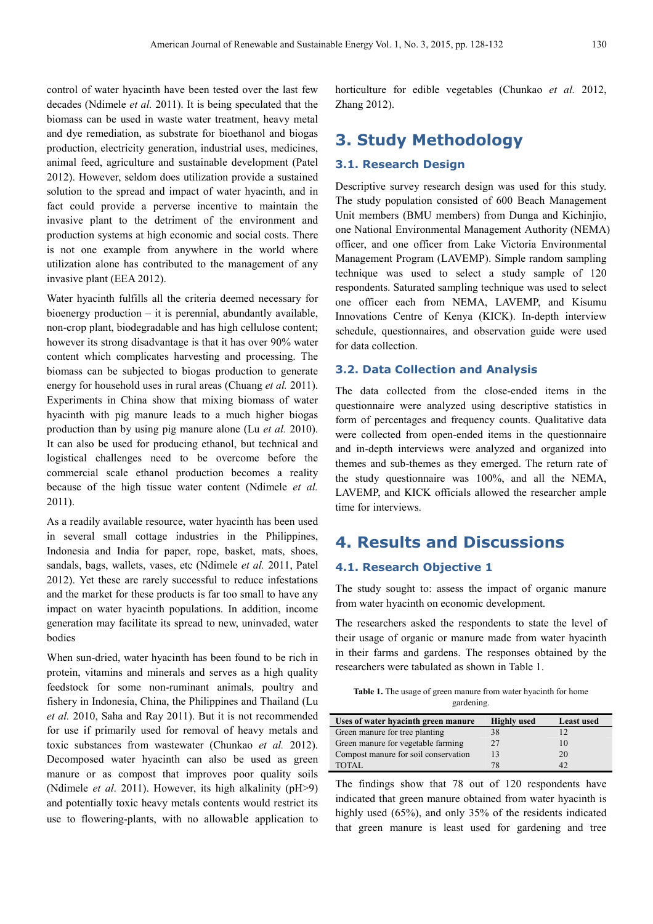control of water hyacinth have been tested over the last few decades (Ndimele *et al.* 2011). It is being speculated that the biomass can be used in waste water treatment, heavy metal and dye remediation, as substrate for bioethanol and biogas production, electricity generation, industrial uses, medicines, animal feed, agriculture and sustainable development (Patel 2012). However, seldom does utilization provide a sustained solution to the spread and impact of water hyacinth, and in fact could provide a perverse incentive to maintain the invasive plant to the detriment of the environment and production systems at high economic and social costs. There is not one example from anywhere in the world where utilization alone has contributed to the management of any invasive plant (EEA 2012).

Water hyacinth fulfills all the criteria deemed necessary for bioenergy production – it is perennial, abundantly available, non-crop plant, biodegradable and has high cellulose content; however its strong disadvantage is that it has over 90% water content which complicates harvesting and processing. The biomass can be subjected to biogas production to generate energy for household uses in rural areas (Chuang *et al.* 2011). Experiments in China show that mixing biomass of water hyacinth with pig manure leads to a much higher biogas production than by using pig manure alone (Lu *et al.* 2010). It can also be used for producing ethanol, but technical and logistical challenges need to be overcome before the commercial scale ethanol production becomes a reality because of the high tissue water content (Ndimele *et al.*  2011).

As a readily available resource, water hyacinth has been used in several small cottage industries in the Philippines, Indonesia and India for paper, rope, basket, mats, shoes, sandals, bags, wallets, vases, etc (Ndimele *et al.* 2011, Patel 2012). Yet these are rarely successful to reduce infestations and the market for these products is far too small to have any impact on water hyacinth populations. In addition, income generation may facilitate its spread to new, uninvaded, water bodies

When sun-dried, water hyacinth has been found to be rich in protein, vitamins and minerals and serves as a high quality feedstock for some non-ruminant animals, poultry and fishery in Indonesia, China, the Philippines and Thailand (Lu *et al.* 2010, Saha and Ray 2011). But it is not recommended for use if primarily used for removal of heavy metals and toxic substances from wastewater (Chunkao *et al.* 2012). Decomposed water hyacinth can also be used as green manure or as compost that improves poor quality soils (Ndimele *et al*. 2011). However, its high alkalinity (pH>9) and potentially toxic heavy metals contents would restrict its use to flowering-plants, with no allowable application to horticulture for edible vegetables (Chunkao *et al.* 2012, Zhang 2012).

## **3. Study Methodology**

#### **3.1. Research Design**

Descriptive survey research design was used for this study. The study population consisted of 600 Beach Management Unit members (BMU members) from Dunga and Kichinjio, one National Environmental Management Authority (NEMA) officer, and one officer from Lake Victoria Environmental Management Program (LAVEMP). Simple random sampling technique was used to select a study sample of 120 respondents. Saturated sampling technique was used to select one officer each from NEMA, LAVEMP, and Kisumu Innovations Centre of Kenya (KICK). In-depth interview schedule, questionnaires, and observation guide were used for data collection.

#### **3.2. Data Collection and Analysis**

The data collected from the close-ended items in the questionnaire were analyzed using descriptive statistics in form of percentages and frequency counts. Qualitative data were collected from open-ended items in the questionnaire and in-depth interviews were analyzed and organized into themes and sub-themes as they emerged. The return rate of the study questionnaire was 100%, and all the NEMA, LAVEMP, and KICK officials allowed the researcher ample time for interviews.

## **4. Results and Discussions**

#### **4.1. Research Objective 1**

The study sought to: assess the impact of organic manure from water hyacinth on economic development.

The researchers asked the respondents to state the level of their usage of organic or manure made from water hyacinth in their farms and gardens. The responses obtained by the researchers were tabulated as shown in Table 1.

**Table 1.** The usage of green manure from water hyacinth for home gardening.

| Uses of water hyacinth green manure  | <b>Highly</b> used | <b>Least used</b> |
|--------------------------------------|--------------------|-------------------|
| Green manure for tree planting       | 38                 | 12                |
| Green manure for vegetable farming   | 27                 | 10                |
| Compost manure for soil conservation | 13                 | 20                |
| TOTAL.                               | 78                 |                   |

The findings show that 78 out of 120 respondents have indicated that green manure obtained from water hyacinth is highly used (65%), and only 35% of the residents indicated that green manure is least used for gardening and tree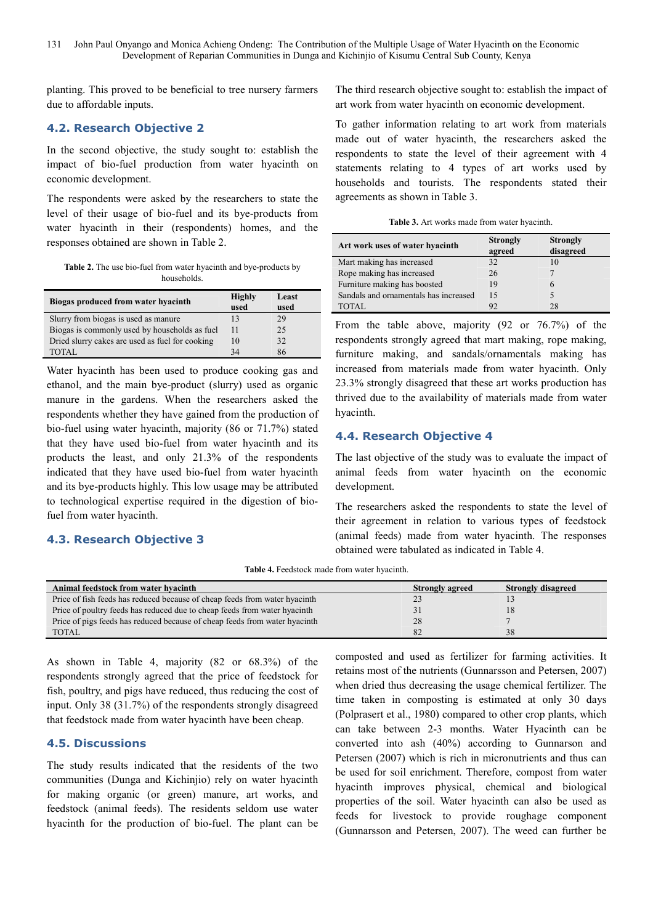planting. This proved to be beneficial to tree nursery farmers due to affordable inputs.

### **4.2. Research Objective 2**

In the second objective, the study sought to: establish the impact of bio-fuel production from water hyacinth on economic development.

The respondents were asked by the researchers to state the level of their usage of bio-fuel and its bye-products from water hyacinth in their (respondents) homes, and the responses obtained are shown in Table 2.

**Table 2.** The use bio-fuel from water hyacinth and bye-products by households.

| Biogas produced from water hyacinth             | <b>Highly</b><br>used | Least<br>used |
|-------------------------------------------------|-----------------------|---------------|
| Slurry from biogas is used as manure            | 13                    | 29            |
| Biogas is commonly used by households as fuel   | 11                    | 25            |
| Dried slurry cakes are used as fuel for cooking | 10                    | 32            |
| TOTAL.                                          | 34                    | 86            |

Water hyacinth has been used to produce cooking gas and ethanol, and the main bye-product (slurry) used as organic manure in the gardens. When the researchers asked the respondents whether they have gained from the production of bio-fuel using water hyacinth, majority (86 or 71.7%) stated that they have used bio-fuel from water hyacinth and its products the least, and only 21.3% of the respondents indicated that they have used bio-fuel from water hyacinth and its bye-products highly. This low usage may be attributed to technological expertise required in the digestion of biofuel from water hyacinth.

### **4.3. Research Objective 3**

The third research objective sought to: establish the impact of art work from water hyacinth on economic development.

To gather information relating to art work from materials made out of water hyacinth, the researchers asked the respondents to state the level of their agreement with 4 statements relating to 4 types of art works used by households and tourists. The respondents stated their agreements as shown in Table 3.

**Table 3.** Art works made from water hyacinth.

| Art work uses of water hyacinth       | <b>Strongly</b><br>agreed | <b>Strongly</b><br>disagreed |
|---------------------------------------|---------------------------|------------------------------|
| Mart making has increased             | 32                        | 10                           |
| Rope making has increased             | 26                        |                              |
| Furniture making has boosted          | 19                        |                              |
| Sandals and ornamentals has increased | 15                        |                              |
| TOTAL.                                | 92                        | 28                           |

From the table above, majority (92 or 76.7%) of the respondents strongly agreed that mart making, rope making, furniture making, and sandals/ornamentals making has increased from materials made from water hyacinth. Only 23.3% strongly disagreed that these art works production has thrived due to the availability of materials made from water hyacinth.

## **4.4. Research Objective 4**

The last objective of the study was to evaluate the impact of animal feeds from water hyacinth on the economic development.

The researchers asked the respondents to state the level of their agreement in relation to various types of feedstock (animal feeds) made from water hyacinth. The responses obtained were tabulated as indicated in Table 4.

**Table 4.** Feedstock made from water hyacinth.

| Animal feedstock from water hyacinth                                       | <b>Strongly agreed</b> | <b>Strongly disagreed</b> |
|----------------------------------------------------------------------------|------------------------|---------------------------|
| Price of fish feeds has reduced because of cheap feeds from water hyacinth |                        |                           |
| Price of poultry feeds has reduced due to cheap feeds from water hyacinth  |                        |                           |
| Price of pigs feeds has reduced because of cheap feeds from water hyacinth | 28                     |                           |
| TOTAL                                                                      | 82                     | 38                        |

As shown in Table 4, majority (82 or 68.3%) of the respondents strongly agreed that the price of feedstock for fish, poultry, and pigs have reduced, thus reducing the cost of input. Only 38 (31.7%) of the respondents strongly disagreed that feedstock made from water hyacinth have been cheap.

## **4.5. Discussions**

The study results indicated that the residents of the two communities (Dunga and Kichinjio) rely on water hyacinth for making organic (or green) manure, art works, and feedstock (animal feeds). The residents seldom use water hyacinth for the production of bio-fuel. The plant can be composted and used as fertilizer for farming activities. It retains most of the nutrients (Gunnarsson and Petersen, 2007) when dried thus decreasing the usage chemical fertilizer. The time taken in composting is estimated at only 30 days (Polprasert et al., 1980) compared to other crop plants, which can take between 2-3 months. Water Hyacinth can be converted into ash (40%) according to Gunnarson and Petersen (2007) which is rich in micronutrients and thus can be used for soil enrichment. Therefore, compost from water hyacinth improves physical, chemical and biological properties of the soil. Water hyacinth can also be used as feeds for livestock to provide roughage component (Gunnarsson and Petersen, 2007). The weed can further be